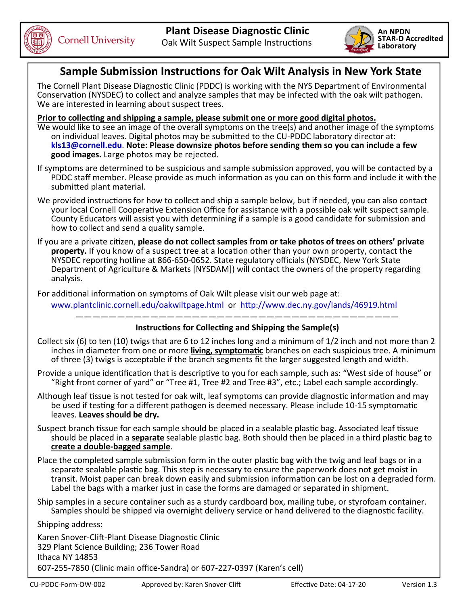

## **Sample Submission Instructions for Oak Wilt Analysis in New York State**

The Cornell Plant Disease Diagnostic Clinic (PDDC) is working with the NYS Department of Environmental Conservation (NYSDEC) to collect and analyze samples that may be infected with the oak wilt pathogen. We are interested in learning about suspect trees.

## **Prior to collecƟng and shipping a sample, please submit one or more good digital photos.**

- We would like to see an image of the overall symptoms on the tree(s) and another image of the symptoms on individual leaves. Digital photos may be submitted to the CU-PDDC laboratory director at: **kls13@cornell.edu**. **Note: Please downsize photos before sending them so you can include a few good images.** Large photos may be rejected.
- If symptoms are determined to be suspicious and sample submission approved, you will be contacted by a PDDC staff member. Please provide as much information as you can on this form and include it with the submitted plant material.
- We provided instructions for how to collect and ship a sample below, but if needed, you can also contact your local Cornell Cooperative Extension Office for assistance with a possible oak wilt suspect sample. County Educators will assist you with determining if a sample is a good candidate for submission and how to collect and send a quality sample.
- If you are a private citizen, **please do not collect samples from or take photos of trees on others' private property.** If you know of a suspect tree at a location other than your own property, contact the NYSDEC reporting hotline at 866-650-0652. State regulatory officials (NYSDEC, New York State Department of Agriculture & Markets [NYSDAM]) will contact the owners of the property regarding analysis.

For additional information on symptoms of Oak Wilt please visit our web page at: www.plantclinic.cornell.edu/oakwiltpage.html or http://www.dec.ny.gov/lands/46919.html

———————————————————————————————————————

## **Instructions for Collecting and Shipping the Sample(s)**

- Collect six (6) to ten (10) twigs that are 6 to 12 inches long and a minimum of 1/2 inch and not more than 2 inches in diameter from one or more **living, symptomatic** branches on each suspicious tree. A minimum of three (3) twigs is acceptable if the branch segments fit the larger suggested length and width.
- Provide a unique identification that is descriptive to you for each sample, such as: "West side of house" or "Right front corner of yard" or "Tree #1, Tree #2 and Tree #3", etc.; Label each sample accordingly.
- Although leaf tissue is not tested for oak wilt, leaf symptoms can provide diagnostic information and may be used if testing for a different pathogen is deemed necessary. Please include 10-15 symptomatic leaves. **Leaves should be dry.**
- Suspect branch tissue for each sample should be placed in a sealable plastic bag. Associated leaf tissue should be placed in a **separate** sealable plasƟc bag. Both should then be placed in a third plasƟc bag to **create a double‐bagged sample**.
- Place the completed sample submission form in the outer plastic bag with the twig and leaf bags or in a separate sealable plastic bag. This step is necessary to ensure the paperwork does not get moist in transit. Moist paper can break down easily and submission information can be lost on a degraded form. Label the bags with a marker just in case the forms are damaged or separated in shipment.
- Ship samples in a secure container such as a sturdy cardboard box, mailing tube, or styrofoam container. Samples should be shipped via overnight delivery service or hand delivered to the diagnostic facility.

Shipping address:

**Cornell University** 

Karen Snover-Clift-Plant Disease Diagnostic Clinic 329 Plant Science Building; 236 Tower Road Ithaca NY 14853 607‐255‐7850 (Clinic main office‐Sandra) or 607‐227‐0397 (Karen's cell)